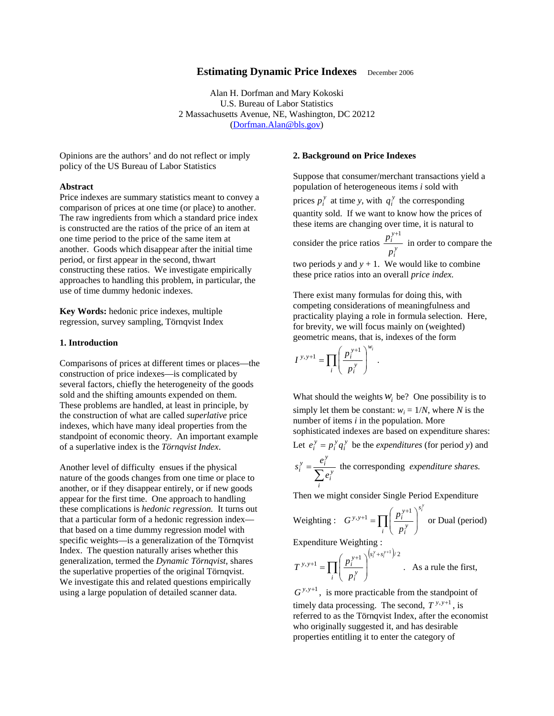# **Estimating Dynamic Price Indexes** December 2006

Alan H. Dorfman and Mary Kokoski U.S. Bureau of Labor Statistics 2 Massachusetts Avenue, NE, Washington, DC 20212 ([Dorfman.Alan@bls.gov](mailto:Sadler.Andy@bls.gov))

Opinions are the authors' and do not reflect or imply policy of the US Bureau of Labor Statistics

### **Abstract**

Price indexes are summary statistics meant to convey a comparison of prices at one time (or place) to another. The raw ingredients from which a standard price index is constructed are the ratios of the price of an item at one time period to the price of the same item at another. Goods which disappear after the initial time period, or first appear in the second, thwart constructing these ratios. We investigate empirically approaches to handling this problem, in particular, the use of time dummy hedonic indexes.

**Key Words:** hedonic price indexes, multiple regression, survey sampling, Törnqvist Index

# **1. Introduction**

Comparisons of prices at different times or places—the construction of price indexes—is complicated by several factors, chiefly the heterogeneity of the goods sold and the shifting amounts expended on them. These problems are handled, at least in principle, by the construction of what are called *superlative* price indexes, which have many ideal properties from the standpoint of economic theory. An important example of a superlative index is the *Törnqvist Index*.

Another level of difficulty ensues if the physical nature of the goods changes from one time or place to another, or if they disappear entirely, or if new goods appear for the first time. One approach to handling these complications is *hedonic regression.* It turns out that a particular form of a hedonic regression index that based on a time dummy regression model with specific weights—is a generalization of the Törnqvist Index. The question naturally arises whether this generalization, termed the *Dynamic Törnqvist*, shares the superlative properties of the original Törnqvist. We investigate this and related questions empirically using a large population of detailed scanner data.

### **2. Background on Price Indexes**

Suppose that consumer/merchant transactions yield a population of heterogeneous items *i* sold with

prices  $p_i^y$  at time *y*, with  $q_i^y$  the corresponding quantity sold. If we want to know how the prices of these items are changing over time, it is natural to

consider the price ratios  $\frac{p_i}{p_i^y}$ *y i p*  $\frac{p_i^{y+1}}{p_i}$  in order to compare the

two periods  $y$  and  $y + 1$ . We would like to combine these price ratios into an overall *price index.*

There exist many formulas for doing this, with competing considerations of meaningfulness and practicality playing a role in formula selection. Here, for brevity, we will focus mainly on (weighted) geometric means, that is, indexes of the form

$$
I^{y,y+1} = \prod_i \left(\frac{p_i^{y+1}}{p_i^y}\right)^{w_i}.
$$

What should the weights  $W_i$  be? One possibility is to simply let them be constant:  $w_i = 1/N$ , where *N* is the number of items *i* in the population. More sophisticated indexes are based on expenditure shares: Let  $e_i^y = p_i^y q_i^y$  be the *expenditures* (for period *y*) and *y*

$$
s_i^y = \frac{e_i^y}{\sum_i e_i^y}
$$
 the corresponding *expenditure shares.*

Then we might consider Single Period Expenditure

Weighting : 
$$
G^{y,y+1} = \prod_i \left(\frac{p_i^{y+1}}{p_i^y}\right)^{s_i^y}
$$
 or Dual (period)

Expenditure Weighting :

 $\mathsf I$  $\mathsf I$ ⎝  $=$   $\Pi$ *i*

*y i*

*p*

∏

 $y, y+1$   $\prod$   $\left( p_i^y \right)$ 

 $(s_i^y + s_i^{y+1})$ +1 =  $\prod_{i=1}^{p} \left( \frac{p_i^{y+1}}{n^y} \right)^{\left( s_i^y + s_i^y \right)^2}$  $\overline{a}$ ⎠ ⎞  $s_i^y + s$  $\int_i^y$  +  $s_i^y$  $T^{y,y+1} = \prod \left(\frac{p_i^{y+1}}{p_i^{y+1}}\right)^{\left(s_i^y+s_i^{y+1}\right)/2}$ 1 . As a rule the first,

 $G^{y, y+1}$ , is more practicable from the standpoint of timely data processing. The second,  $T^{y, y+1}$ , is referred to as the Törnqvist Index, after the economist who originally suggested it, and has desirable properties entitling it to enter the category of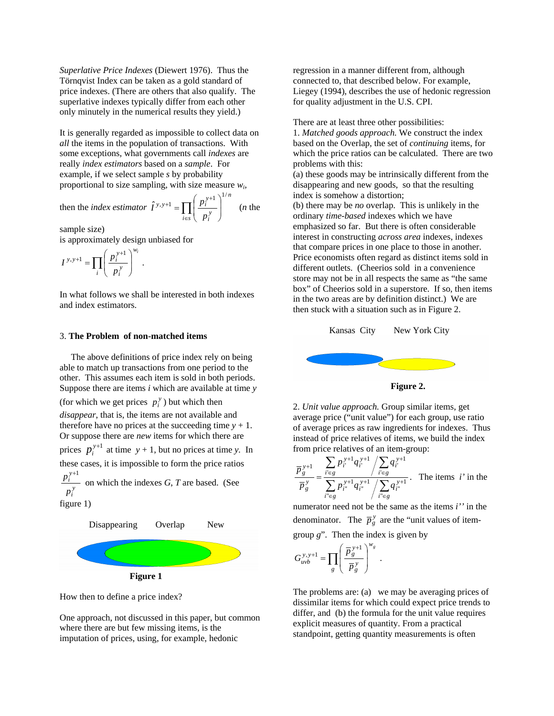*Superlative Price Indexes* (Diewert 1976). Thus the Törnqvist Index can be taken as a gold standard of price indexes. (There are others that also qualify. The superlative indexes typically differ from each other only minutely in the numerical results they yield.)

It is generally regarded as impossible to collect data on *all* the items in the population of transactions. With some exceptions, what governments call *indexes* are really *index estimators* based on a *sample*. For example, if we select sample *s* by probability proportional to size sampling, with size measure *wi*,

then the *index estimator* 
$$
\hat{I}^{y,y+1} = \prod_{i \in s} \left( \frac{p_i^{y+1}}{p_i^y} \right)^{1/n}
$$
 (*n* the

sample size)

is approximately design unbiased for

$$
I^{y,y+1}=\prod_i\left(\frac{p_i^{y+1}}{p_i^y}\right)^{w_i}\,.
$$

In what follows we shall be interested in both indexes and index estimators.

#### 3. **The Problem of non-matched items**

 The above definitions of price index rely on being able to match up transactions from one period to the other. This assumes each item is sold in both periods. Suppose there are items *i* which are available at time *y*

(for which we get prices  $p_i^y$ ) but which then *disappear*, that is, the items are not available and therefore have no prices at the succeeding time  $y + 1$ . Or suppose there are *new* items for which there are prices  $p_i^{y+1}$  at time  $y + 1$ , but no prices at time *y*. In these cases, it is impossible to form the price ratios *y i y i p*  $p_i^{y+1}$  on which the indexes *G*, *T* are based. (See

figure 1)



How then to define a price index?

One approach, not discussed in this paper, but common where there are but few missing items, is the imputation of prices, using, for example, hedonic

regression in a manner different from, although connected to, that described below. For example, Liegey (1994), describes the use of hedonic regression for quality adjustment in the U.S. CPI.

There are at least three other possibilities:

1. *Matched goods approach.* We construct the index based on the Overlap, the set of *continuing* items, for which the price ratios can be calculated. There are two problems with this:

(a) these goods may be intrinsically different from the disappearing and new goods, so that the resulting index is somehow a distortion;

(b) there may be *no* overlap. This is unlikely in the ordinary *time-based* indexes which we have emphasized so far. But there is often considerable interest in constructing *across area* indexes, indexes that compare prices in one place to those in another. Price economists often regard as distinct items sold in different outlets. (Cheerios sold in a convenience store may not be in all respects the same as "the same box" of Cheerios sold in a superstore. If so, then items in the two areas are by definition distinct.) We are then stuck with a situation such as in Figure 2.



**Figure 2.** 

2. *Unit value approach.* Group similar items, get average price ("unit value") for each group, use ratio of average prices as raw ingredients for indexes. Thus instead of price relatives of items, we build the index from price relatives of an item-group:

$$
\frac{\overline{p}_{g}^{y+1}}{\overline{p}_{g}^{y}} = \frac{\sum_{i' \in g} p_{i'}^{y+1} q_{i'}^{y+1} / \sum_{i' \in g} q_{i'}^{y+1}}{\sum_{i' \in g} p_{i''}^{y+1} q_{i''}^{y+1} / \sum_{i'' \in g} q_{i''}^{y+1}}.
$$
 The items *i'* in the

numerator need not be the same as the items *i''* in the denominator. The  $\overline{p}_g^y$  are the "unit values of item-

group *g*". Then the index is given by

$$
G_{uvb}^{y,y+1} = \prod_g \left( \frac{\overline{P}_g^{\,y+1}}{\overline{P}_g^{\,y}} \right)^{w_g} \ .
$$

The problems are: (a) we may be averaging prices of dissimilar items for which could expect price trends to differ, and (b) the formula for the unit value requires explicit measures of quantity. From a practical standpoint, getting quantity measurements is often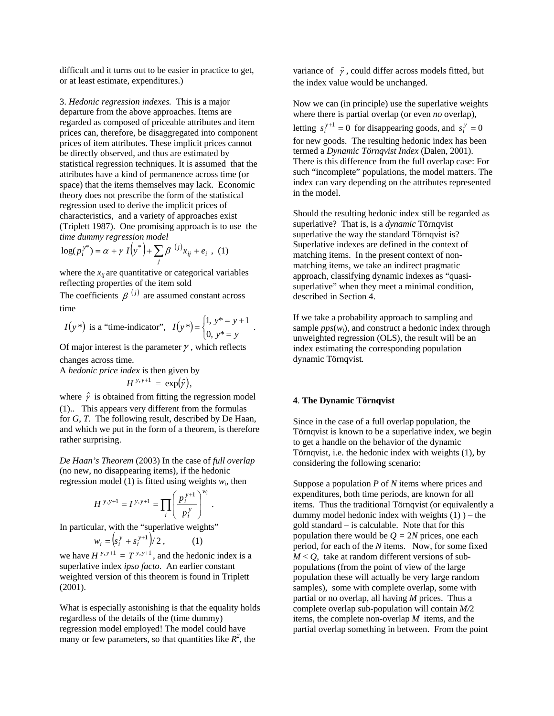difficult and it turns out to be easier in practice to get, or at least estimate, expenditures.)

3. *Hedonic regression indexes.* This is a major departure from the above approaches. Items are regarded as composed of priceable attributes and item prices can, therefore, be disaggregated into component prices of item attributes. These implicit prices cannot be directly observed, and thus are estimated by statistical regression techniques. It is assumed that the attributes have a kind of permanence across time (or space) that the items themselves may lack. Economic theory does not prescribe the form of the statistical regression used to derive the implicit prices of characteristics, and a variety of approaches exist (Triplett 1987). One promising approach is to use the *time dummy regression model*

$$
\log(p_i^{y^*}) = \alpha + \gamma I(y^*) + \sum_j \beta^{(j)} x_{ij} + e_i , (1)
$$

where the  $x_{ii}$  are quantitative or categorical variables reflecting properties of the item sold

The coefficients  $\beta^{(j)}$  are assumed constant across time

$$
I(y^*)
$$
 is a "time-indicator",  $I(y^*) = \begin{cases} 1, & y^* = y + 1 \\ 0, & y^* = y \end{cases}$ .

Of major interest is the parameter  $\gamma$ , which reflects changes across time.

A *hedonic price index* is then given by

$$
H^{y,y+1} = \exp(\hat{y}),
$$

where  $\hat{\gamma}$  is obtained from fitting the regression model (1).. This appears very different from the formulas for *G*, *T.* The following result, described by De Haan, and which we put in the form of a theorem, is therefore rather surprising.

*De Haan's Theorem* (2003) In the case of *full overlap*  (no new, no disappearing items), if the hedonic regression model (1) is fitted using weights  $w_i$ , then

$$
H^{y,y+1} = I^{y,y+1} = \prod_i \left(\frac{p_i^{y+1}}{p_i^y}\right)^{w_i} \, .
$$

In particular, with the "superlative weights"

$$
w_i = \left(s_i^{\,y} + s_i^{\,y+1}\right)/\,2\,,\tag{1}
$$

we have  $H^{y, y+1} = T^{y, y+1}$ , and the hedonic index is a superlative index *ipso facto*. An earlier constant weighted version of this theorem is found in Triplett (2001).

What is especially astonishing is that the equality holds regardless of the details of the (time dummy) regression model employed! The model could have many or few parameters, so that quantities like  $R^2$ , the

variance of  $\hat{\gamma}$ , could differ across models fitted, but the index value would be unchanged.

Now we can (in principle) use the superlative weights where there is partial overlap (or even *no* overlap), letting  $s_i^{y+1} = 0$  for disappearing goods, and  $s_i^y = 0$ for new goods. The resulting hedonic index has been termed a *Dynamic Törnqvist Index* (Dalen, 2001). There is this difference from the full overlap case: For such "incomplete" populations, the model matters. The index can vary depending on the attributes represented

Should the resulting hedonic index still be regarded as superlative? That is, is a *dynamic* Törnqvist superlative the way the standard Törnqvist is? Superlative indexes are defined in the context of matching items. In the present context of nonmatching items, we take an indirect pragmatic approach, classifying dynamic indexes as "quasisuperlative" when they meet a minimal condition, described in Section 4.

If we take a probability approach to sampling and sample  $pps(w_i)$ , and construct a hedonic index through unweighted regression (OLS), the result will be an index estimating the corresponding population dynamic Törnqvist*.* 

### **4**. **The Dynamic Törnqvist**

in the model.

Since in the case of a full overlap population, the Törnqvist is known to be a superlative index, we begin to get a handle on the behavior of the dynamic Törnqvist, i.e. the hedonic index with weights (1), by considering the following scenario:

Suppose a population *P* of *N* items where prices and expenditures, both time periods, are known for all items. Thus the traditional Törnqvist (or equivalently a dummy model hedonic index with weights  $(1)$ ) – the gold standard – is calculable. Note that for this population there would be  $Q = 2N$  prices, one each period, for each of the *N* items. Now, for some fixed  $M < Q$ , take at random different versions of subpopulations (from the point of view of the large population these will actually be very large random samples), some with complete overlap, some with partial or no overlap, all having *M* prices. Thus a complete overlap sub-population will contain *M/*2 items, the complete non-overlap *M* items, and the partial overlap something in between. From the point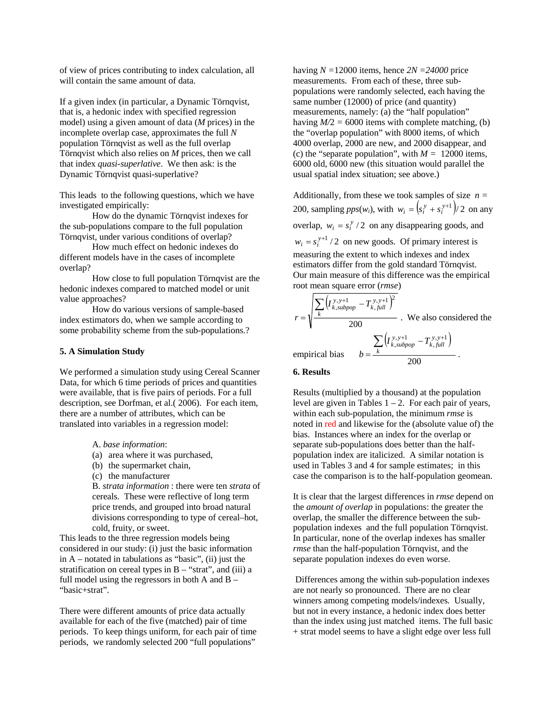of view of prices contributing to index calculation, all will contain the same amount of data.

If a given index (in particular, a Dynamic Törnqvist, that is, a hedonic index with specified regression model) using a given amount of data (*M* prices) in the incomplete overlap case, approximates the full *N*  population Törnqvist as well as the full overlap Törnqvist which also relies on *M* prices, then we call that index *quasi-superlative*. We then ask: is the Dynamic Törnqvist quasi-superlative?

This leads to the following questions, which we have investigated empirically:

How do the dynamic Törnqvist indexes for the sub-populations compare to the full population Törnqvist, under various conditions of overlap?

How much effect on hedonic indexes do different models have in the cases of incomplete overlap?

How close to full population Törnqvist are the hedonic indexes compared to matched model or unit value approaches?

How do various versions of sample-based index estimators do, when we sample according to some probability scheme from the sub-populations.?

### **5. A Simulation Study**

We performed a simulation study using Cereal Scanner Data, for which 6 time periods of prices and quantities were available, that is five pairs of periods. For a full description, see Dorfman, et al.( 2006). For each item, there are a number of attributes, which can be translated into variables in a regression model:

A. *base information*:

- (a) area where it was purchased,
- (b) the supermarket chain,
- (c) the manufacturer

B. *strata information* : there were ten *strata* of cereals. These were reflective of long term price trends, and grouped into broad natural divisions corresponding to type of cereal–hot, cold, fruity, or sweet.

This leads to the three regression models being considered in our study: (i) just the basic information in A – notated in tabulations as "basic", (ii) just the stratification on cereal types in  $B -$  "strat", and (iii) a full model using the regressors in both A and  $B -$ "basic+strat".

There were different amounts of price data actually available for each of the five (matched) pair of time periods. To keep things uniform, for each pair of time periods, we randomly selected 200 "full populations"

having  $N = 12000$  items, hence  $2N = 24000$  price measurements. From each of these, three subpopulations were randomly selected, each having the same number (12000) of price (and quantity) measurements, namely: (a) the "half population" having  $M/2 = 6000$  items with complete matching, (b) the "overlap population" with 8000 items, of which 4000 overlap, 2000 are new, and 2000 disappear, and (c) the "separate population", with  $M = 12000$  items, 6000 old, 6000 new (this situation would parallel the usual spatial index situation; see above.)

Additionally, from these we took samples of size  $n =$ 200, sampling  $pps(w_i)$ , with  $w_i = \left( s_i^y + s_i^{y+1} \right) / 2$  on any overlap,  $w_i = s_i^y / 2$  on any disappearing goods, and  $w_i = s_i^{y+1} / 2$  on new goods. Of primary interest is measuring the extent to which indexes and index estimators differ from the gold standard Törnqvist. Our main measure of this difference was the empirical root mean square error (*rmse*)

$$
r = \sqrt{\frac{\sum_{k} (I_{k,subpop}^{y, y+1} - T_{k,full}^{y, y+1})^2}{200}}
$$
. We also considered the  
empirical bias 
$$
b = \frac{\sum_{k} (I_{k,subpop}^{y, y+1} - T_{k,full}^{y, y+1})}{200}
$$
.

#### **6. Results**

Results (multiplied by a thousand) at the population level are given in Tables  $1 - 2$ . For each pair of years, within each sub-population, the minimum *rmse* is noted in red and likewise for the (absolute value of) the bias. Instances where an index for the overlap or separate sub-populations does better than the halfpopulation index are italicized. A similar notation is used in Tables 3 and 4 for sample estimates; in this case the comparison is to the half-population geomean.

It is clear that the largest differences in *rmse* depend on the *amount of overlap* in populations: the greater the overlap, the smaller the difference between the subpopulation indexes and the full population Törnqvist. In particular, none of the overlap indexes has smaller *rmse* than the half-population Törnqvist, and the separate population indexes do even worse.

 Differences among the within sub-population indexes are not nearly so pronounced. There are no clear winners among competing models/indexes*.* Usually, but not in every instance, a hedonic index does better than the index using just matched items. The full basic + strat model seems to have a slight edge over less full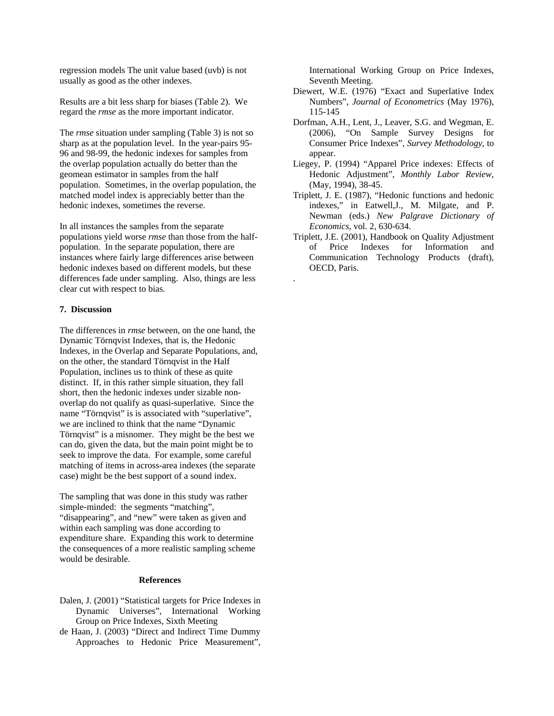regression models The unit value based (uvb) is not usually as good as the other indexes.

Results are a bit less sharp for biases (Table 2). We regard the *rmse* as the more important indicator*.* 

The *rmse* situation under sampling (Table 3) is not so sharp as at the population level. In the year-pairs 95- 96 and 98-99, the hedonic indexes for samples from the overlap population actually do better than the geomean estimator in samples from the half population. Sometimes, in the overlap population, the matched model index is appreciably better than the hedonic indexes, sometimes the reverse.

In all instances the samples from the separate populations yield worse *rmse* than those from the halfpopulation. In the separate population, there are instances where fairly large differences arise between hedonic indexes based on different models, but these differences fade under sampling. Also, things are less clear cut with respect to bias.

## **7. Discussion**

The differences in *rmse* between, on the one hand, the Dynamic Törnqvist Indexes, that is, the Hedonic Indexes, in the Overlap and Separate Populations, and, on the other, the standard Törnqvist in the Half Population, inclines us to think of these as quite distinct. If, in this rather simple situation, they fall short, then the hedonic indexes under sizable nonoverlap do not qualify as quasi-superlative*.* Since the name "Törnqvist" is is associated with "superlative", we are inclined to think that the name "Dynamic Törnqvist" is a misnomer. They might be the best we can do, given the data, but the main point might be to seek to improve the data. For example, some careful matching of items in across-area indexes (the separate case) might be the best support of a sound index.

The sampling that was done in this study was rather simple-minded: the segments "matching", "disappearing", and "new" were taken as given and within each sampling was done according to expenditure share. Expanding this work to determine the consequences of a more realistic sampling scheme would be desirable.

### **References**

- Dalen, J. (2001) "Statistical targets for Price Indexes in Dynamic Universes", International Working Group on Price Indexes, Sixth Meeting
- de Haan, J. (2003) "Direct and Indirect Time Dummy Approaches to Hedonic Price Measurement",

International Working Group on Price Indexes, Seventh Meeting.

- Diewert, W.E. (1976) "Exact and Superlative Index Numbers", *Journal of Econometrics* (May 1976), 115-145
- Dorfman, A.H., Lent, J., Leaver, S.G. and Wegman, E. (2006), "On Sample Survey Designs for Consumer Price Indexes", *Survey Methodology*, to appear.
- Liegey, P. (1994) "Apparel Price indexes: Effects of Hedonic Adjustment", *Monthly Labor Review,*  (May, 1994), 38-45.
- Triplett, J. E. (1987), "Hedonic functions and hedonic indexes," in Eatwell,J., M. Milgate, and P. Newman (eds.) *New Palgrave Dictionary of Economics*, vol. 2, 630-634.
- Triplett, J.E. (2001), Handbook on Quality Adjustment of Price Indexes for Information and Communication Technology Products (draft), OECD, Paris.

.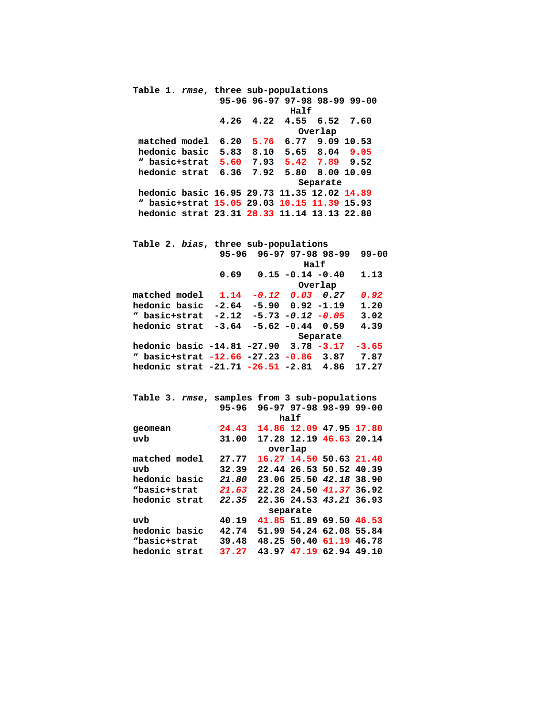**Table 1.** *rmse***, three sub-populations 95-96 96-97 97-98 98-99 99-00 Half 4.26 4.22 4.55 6.52 7.60 Overlap matched model 6.20 5.76 6.77 9.09 10.53 hedonic basic 5.83 8.10 5.65 8.04 9.05 " basic+strat 5.60 7.93 5.42 7.89 9.52 hedonic strat 6.36 7.92 5.80 8.00 10.09 Separate hedonic basic 16.95 29.73 11.35 12.02 14.89 " basic+strat 15.05 29.03 10.15 11.39 15.93 hedonic strat 23.31 28.33 11.14 13.13 22.80** 

| Table 2. bias, three sub-populations   |         |                         |                        |  |           |  |  |  |
|----------------------------------------|---------|-------------------------|------------------------|--|-----------|--|--|--|
|                                        |         | 95-96 96-97 97-98 98-99 |                        |  | $99 - 00$ |  |  |  |
|                                        |         |                         | Half                   |  |           |  |  |  |
|                                        | 0.69    |                         | $0.15 - 0.14 - 0.40$   |  | 1.13      |  |  |  |
|                                        |         | Overlap                 |                        |  |           |  |  |  |
| matched model                          | 1.14    |                         | $-0.12$ 0.03 0.27      |  | 0.92      |  |  |  |
| hedonic basic                          | $-2.64$ |                         | $-5.90$ $0.92$ $-1.19$ |  | 1.20      |  |  |  |
| " basic+strat                          | $-2.12$ | $-5.73$ $-0.12$ $-0.05$ |                        |  | 3.02      |  |  |  |
| hedonic strat                          | $-3.64$ |                         | $-5.62 - 0.44 0.59$    |  | 4.39      |  |  |  |
|                                        |         | Separate                |                        |  |           |  |  |  |
| hedonic basic -14.81 -27.90 3.78 -3.17 |         |                         |                        |  | $-3.65$   |  |  |  |
| " basic+strat -12.66 -27.23 -0.86 3.87 |         |                         |                        |  | 7.87      |  |  |  |
| hedonic strat -21.71 -26.51 -2.81 4.86 |         |                         |                        |  | 17.27     |  |  |  |

|               | Table 3. rmse, samples from 3 sub-populations |                         |  |  |  |  |  |
|---------------|-----------------------------------------------|-------------------------|--|--|--|--|--|
|               | $95 - 96$                                     | 96-97 97-98 98-99 99-00 |  |  |  |  |  |
|               | half                                          |                         |  |  |  |  |  |
| geomean       | 24.43                                         | 14.86 12.09 47.95 17.80 |  |  |  |  |  |
| uvb           | 31.00                                         | 17.28 12.19 46.63 20.14 |  |  |  |  |  |
|               | overlap                                       |                         |  |  |  |  |  |
| matched model | 27.77                                         | 16.27 14.50 50.63 21.40 |  |  |  |  |  |
| uvb           | 32.39                                         | 22.44 26.53 50.52 40.39 |  |  |  |  |  |
| hedonic basic | 21.80                                         | 23.06 25.50 42.18 38.90 |  |  |  |  |  |
| "basic+strat  | 21.63                                         | 22.28 24.50 41.37 36.92 |  |  |  |  |  |
| hedonic strat | 22.35                                         | 22.36 24.53 43.21 36.93 |  |  |  |  |  |
|               | separate                                      |                         |  |  |  |  |  |
| uvb           | 40.19                                         | 41.85 51.89 69.50 46.53 |  |  |  |  |  |
| hedonic basic | 42.74                                         | 51.99 54.24 62.08 55.84 |  |  |  |  |  |
| "basic+strat  | 39.48                                         | 48.25 50.40 61.19 46.78 |  |  |  |  |  |
| hedonic strat | 37.27                                         | 43.97 47.19 62.94 49.10 |  |  |  |  |  |